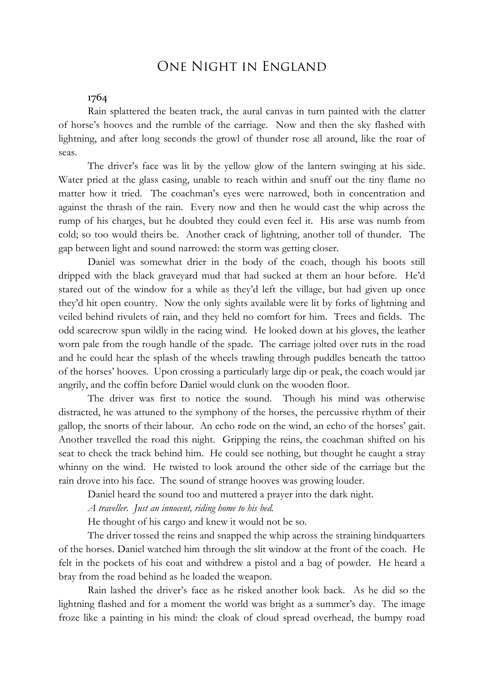# One Night in England

## 1764

Rain splattered the beaten track, the aural canvas in turn painted with the clatter of horse's hooves and the rumble of the carriage. Now and then the sky flashed with lightning, and after long seconds the growl of thunder rose all around, like the roar of seas.

The driver's face was lit by the yellow glow of the lantern swinging at his side. Water pried at the glass casing, unable to reach within and snuff out the tiny flame no matter how it tried. The coachman's eyes were narrowed, both in concentration and against the thrash of the rain. Every now and then he would cast the whip across the rump of his charges, but he doubted they could even feel it. His arse was numb from cold; so too would theirs be. Another crack of lightning, another toll of thunder. The gap between light and sound narrowed: the storm was getting closer.

Daniel was somewhat drier in the body of the coach, though his boots still dripped with the black graveyard mud that had sucked at them an hour before. He'd stared out of the window for a while as they'd left the village, but had given up once they'd hit open country. Now the only sights available were lit by forks of lightning and veiled behind rivulets of rain, and they held no comfort for him. Trees and fields. The odd scarecrow spun wildly in the racing wind. He looked down at his gloves, the leather worn pale from the rough handle of the spade. The carriage jolted over ruts in the road and he could hear the splash of the wheels trawling through puddles beneath the tattoo of the horses' hooves. Upon crossing a particularly large dip or peak, the coach would jar angrily, and the coffin before Daniel would clunk on the wooden floor.

The driver was first to notice the sound. Though his mind was otherwise distracted, he was attuned to the symphony of the horses, the percussive rhythm of their gallop, the snorts of their labour. An echo rode on the wind, an echo of the horses' gait. Another travelled the road this night. Gripping the reins, the coachman shifted on his seat to check the track behind him. He could see nothing, but thought he caught a stray whinny on the wind. He twisted to look around the other side of the carriage but the rain drove into his face. The sound of strange hooves was growing louder.

Daniel heard the sound too and muttered a prayer into the dark night.

*A traveller. Just an innocent, riding home to his bed.*

He thought of his cargo and knew it would not be so.

The driver tossed the reins and snapped the whip across the straining hindquarters of the horses. Daniel watched him through the slit window at the front of the coach. He felt in the pockets of his coat and withdrew a pistol and a bag of powder. He heard a bray from the road behind as he loaded the weapon.

Rain lashed the driver's face as he risked another look back. As he did so the lightning flashed and for a moment the world was bright as a summer's day. The image froze like a painting in his mind: the cloak of cloud spread overhead, the bumpy road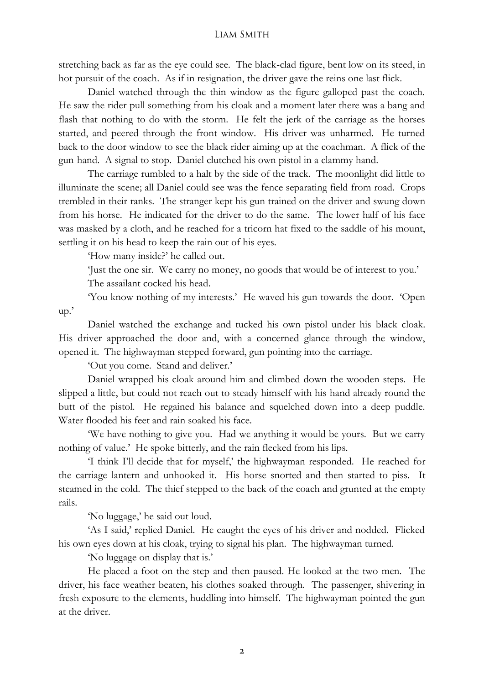### Liam Smith

stretching back as far as the eye could see. The black-clad figure, bent low on its steed, in hot pursuit of the coach. As if in resignation, the driver gave the reins one last flick.

Daniel watched through the thin window as the figure galloped past the coach. He saw the rider pull something from his cloak and a moment later there was a bang and flash that nothing to do with the storm. He felt the jerk of the carriage as the horses started, and peered through the front window. His driver was unharmed. He turned back to the door window to see the black rider aiming up at the coachman. A flick of the gun-hand. A signal to stop. Daniel clutched his own pistol in a clammy hand.

The carriage rumbled to a halt by the side of the track. The moonlight did little to illuminate the scene; all Daniel could see was the fence separating field from road. Crops trembled in their ranks. The stranger kept his gun trained on the driver and swung down from his horse. He indicated for the driver to do the same. The lower half of his face was masked by a cloth, and he reached for a tricorn hat fixed to the saddle of his mount, settling it on his head to keep the rain out of his eyes.

'How many inside?' he called out.

'Just the one sir. We carry no money, no goods that would be of interest to you.'

The assailant cocked his head.

'You know nothing of my interests.' He waved his gun towards the door. 'Open up.'

Daniel watched the exchange and tucked his own pistol under his black cloak. His driver approached the door and, with a concerned glance through the window, opened it. The highwayman stepped forward, gun pointing into the carriage.

'Out you come. Stand and deliver.'

Daniel wrapped his cloak around him and climbed down the wooden steps. He slipped a little, but could not reach out to steady himself with his hand already round the butt of the pistol. He regained his balance and squelched down into a deep puddle. Water flooded his feet and rain soaked his face.

'We have nothing to give you. Had we anything it would be yours. But we carry nothing of value.' He spoke bitterly, and the rain flecked from his lips.

'I think I'll decide that for myself,' the highwayman responded. He reached for the carriage lantern and unhooked it. His horse snorted and then started to piss. It steamed in the cold. The thief stepped to the back of the coach and grunted at the empty rails.

'No luggage,' he said out loud.

'As I said,' replied Daniel. He caught the eyes of his driver and nodded. Flicked his own eyes down at his cloak, trying to signal his plan. The highwayman turned.

'No luggage on display that is.'

He placed a foot on the step and then paused. He looked at the two men. The driver, his face weather beaten, his clothes soaked through. The passenger, shivering in fresh exposure to the elements, huddling into himself. The highwayman pointed the gun at the driver.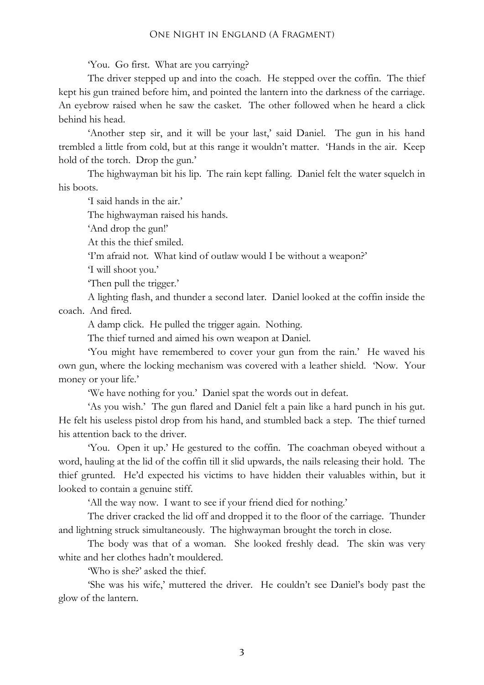#### One Night in England (A Fragment)

'You. Go first. What are you carrying?

The driver stepped up and into the coach. He stepped over the coffin. The thief kept his gun trained before him, and pointed the lantern into the darkness of the carriage. An eyebrow raised when he saw the casket. The other followed when he heard a click behind his head.

'Another step sir, and it will be your last,' said Daniel. The gun in his hand trembled a little from cold, but at this range it wouldn't matter. 'Hands in the air. Keep hold of the torch. Drop the gun.'

The highwayman bit his lip. The rain kept falling. Daniel felt the water squelch in his boots.

'I said hands in the air.'

The highwayman raised his hands.

'And drop the gun!'

At this the thief smiled.

'I'm afraid not. What kind of outlaw would I be without a weapon?'

'I will shoot you.'

'Then pull the trigger.'

A lighting flash, and thunder a second later. Daniel looked at the coffin inside the coach. And fired.

A damp click. He pulled the trigger again. Nothing.

The thief turned and aimed his own weapon at Daniel.

'You might have remembered to cover your gun from the rain.' He waved his own gun, where the locking mechanism was covered with a leather shield. 'Now. Your money or your life.'

'We have nothing for you.' Daniel spat the words out in defeat.

'As you wish.' The gun flared and Daniel felt a pain like a hard punch in his gut. He felt his useless pistol drop from his hand, and stumbled back a step. The thief turned his attention back to the driver.

'You. Open it up.' He gestured to the coffin. The coachman obeyed without a word, hauling at the lid of the coffin till it slid upwards, the nails releasing their hold. The thief grunted. He'd expected his victims to have hidden their valuables within, but it looked to contain a genuine stiff.

'All the way now. I want to see if your friend died for nothing.'

The driver cracked the lid off and dropped it to the floor of the carriage. Thunder and lightning struck simultaneously. The highwayman brought the torch in close.

The body was that of a woman. She looked freshly dead. The skin was very white and her clothes hadn't mouldered.

'Who is she?' asked the thief.

'She was his wife,' muttered the driver. He couldn't see Daniel's body past the glow of the lantern.